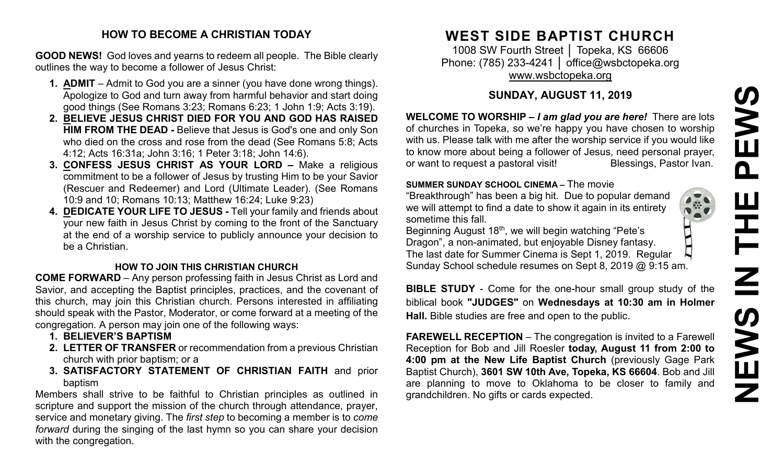# **NEWS IN THE PEWS**PEWS Ш **HH N** NEWS

 $\prod\limits_{i=1}^n$ 

#### **HOW TO BECOME A CHRISTIAN TODAY**

**GOOD NEWS!** God loves and yearns to redeem all people. The Bible clearly outlines the way to become a follower of Jesus Christ:

- **1. ADMIT** Admit to God you are a sinner (you have done wrong things). Apologize to God and turn away from harmful behavior and start doing good things (See Romans 3:23; Romans 6:23; 1 John 1:9; Acts 3:19).
- **2. BELIEVE JESUS CHRIST DIED FOR YOU AND GOD HAS RAISED HIM FROM THE DEAD -** Believe that Jesus is God's one and only Son who died on the cross and rose from the dead (See Romans 5:8; Acts 4:12; Acts 16:31a; John 3:16; 1 Peter 3:18; John 14:6).
- **3. CONFESS JESUS CHRIST AS YOUR LORD –** Make a religious commitment to be a follower of Jesus by trusting Him to be your Savior (Rescuer and Redeemer) and Lord (Ultimate Leader). (See Romans 10:9 and 10; Romans 10:13; Matthew 16:24; Luke 9:23)
- **4. DEDICATE YOUR LIFE TO JESUS -** Tell your family and friends about your new faith in Jesus Christ by coming to the front of the Sanctuary at the end of a worship service to publicly announce your decision to be a Christian.

#### **HOW TO JOIN THIS CHRISTIAN CHURCH**

**COME FORWARD** – Any person professing faith in Jesus Christ as Lord and Savior, and accepting the Baptist principles, practices, and the covenant of this church, may join this Christian church. Persons interested in affiliating should speak with the Pastor, Moderator, or come forward at a meeting of the congregation. A person may join one of the following ways:

- **1. BELIEVER'S BAPTISM**
- **2. LETTER OF TRANSFER** or recommendation from a previous Christian church with prior baptism; or a
- **3. SATISFACTORY STATEMENT OF CHRISTIAN FAITH** and prior baptism

Members shall strive to be faithful to Christian principles as outlined in scripture and support the mission of the church through attendance, prayer, service and monetary giving. The *first step* to becoming a member is to *come forward* during the singing of the last hymn so you can share your decision with the congregation.

# **WEST SIDE BAPTIST CHURCH**

1008 SW Fourth Street | Topeka, KS 66606 Phone: (785) 233-4241 │ [office@wsbctopeka.org](mailto:office@wsbctopeka.org) [www.wsbctopeka.org](http://www.wsbctopeka.org/)

## **SUNDAY, AUGUST 11, 2019**

**WELCOME TO WORSHIP –** *I am glad you are here!* There are lots of churches in Topeka, so we're happy you have chosen to worship with us. Please talk with me after the worship service if you would like to know more about being a follower of Jesus, need personal prayer, or want to request a pastoral visit!<br>
Blessings, Pastor Ivan.

#### **SUMMER SUNDAY SCHOOL CINEMA –** The movie

"Breakthrough" has been a big hit. Due to popular demand we will attempt to find a date to show it again in its entirety sometime this fall.

Beginning August 18<sup>th</sup>, we will begin watching "Pete's Dragon", a non-animated, but enjoyable Disney fantasy. The last date for Summer Cinema is Sept 1, 2019. Regular Sunday School schedule resumes on Sept 8, 2019 @ 9:15 am.

**BIBLE STUDY** - Come for the one-hour small group study of the biblical book **"JUDGES"** on **Wednesdays at 10:30 am in Holmer Hall.** Bible studies are free and open to the public.

**FAREWELL RECEPTION** – The congregation is invited to a Farewell Reception for Bob and Jill Roesler **today, August 11 from 2:00 to 4:00 pm at the New Life Baptist Church** (previously Gage Park Baptist Church), **3601 SW 10th Ave, Topeka, KS 66604**. Bob and Jill are planning to move to Oklahoma to be closer to family and grandchildren. No gifts or cards expected.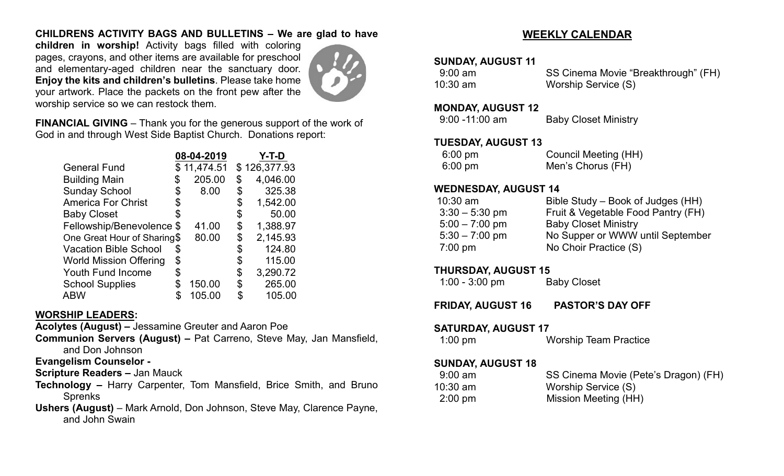#### **CHILDRENS ACTIVITY BAGS AND BULLETINS – We are glad to have**

**children in worship!** Activity bags filled with coloring pages, crayons, and other items are available for preschool and elementary-aged children near the sanctuary door. **Enjoy the kits and children's bulletins**. Please take home your artwork. Place the packets on the front pew after the worship service so we can restock them.



**FINANCIAL GIVING** – Thank you for the generous support of the work of God in and through West Side Baptist Church. Donations report:

|                               |    | 08-04-2019  | Y-T-D          |
|-------------------------------|----|-------------|----------------|
| <b>General Fund</b>           |    | \$11,474.51 | \$126,377.93   |
| <b>Building Main</b>          |    | 205.00      | \$<br>4,046.00 |
| <b>Sunday School</b>          | \$ | 8.00        | \$<br>325.38   |
| <b>America For Christ</b>     |    |             | 1,542.00       |
| <b>Baby Closet</b>            |    |             | \$<br>50.00    |
| Fellowship/Benevolence \$     |    | 41.00       | \$<br>1,388.97 |
| One Great Hour of Sharing\$   |    | 80.00       | \$<br>2,145.93 |
| <b>Vacation Bible School</b>  | \$ |             | \$<br>124.80   |
| <b>World Mission Offering</b> | \$ |             | \$<br>115.00   |
| <b>Youth Fund Income</b>      | S  |             | \$<br>3,290.72 |
| <b>School Supplies</b>        | \$ | 150.00      | \$<br>265.00   |
| <b>ABW</b>                    |    | 105.00      | 105.00         |

#### **WORSHIP LEADERS:**

**Acolytes (August) –** Jessamine Greuter and Aaron Poe

**Communion Servers (August) –** Pat Carreno, Steve May, Jan Mansfield, and Don Johnson

#### **Evangelism Counselor -**

**Scripture Readers –** Jan Mauck

- **Technology –** Harry Carpenter, Tom Mansfield, Brice Smith, and Bruno **Sprenks**
- **Ushers (August)**  Mark Arnold, Don Johnson, Steve May, Clarence Payne, and John Swain

### **WEEKLY CALENDAR**

#### **SUNDAY, AUGUST 11**

| $9:00 \text{ am}$ | SS Cinema Movie "Breakthrough" (FH) |
|-------------------|-------------------------------------|
| $10:30$ am        | Worship Service (S)                 |

#### **MONDAY, AUGUST 12**

| $9:00 - 11:00$ am | <b>Baby Closet Ministry</b> |
|-------------------|-----------------------------|
|-------------------|-----------------------------|

#### **TUESDAY, AUGUST 13**

| 6:00 pm | <b>Council Meeting (HH)</b> |
|---------|-----------------------------|
| 6:00 pm | Men's Chorus (FH)           |

#### **WEDNESDAY, AUGUST 14**

| $10:30$ am        | Bible Study – Book of Judges (HH)  |
|-------------------|------------------------------------|
| $3:30 - 5:30$ pm  | Fruit & Vegetable Food Pantry (FH) |
| $5:00 - 7:00$ pm  | <b>Baby Closet Ministry</b>        |
| $5:30 - 7:00$ pm  | No Supper or WWW until September   |
| $7:00 \text{ pm}$ | No Choir Practice (S)              |
|                   |                                    |

#### **THURSDAY, AUGUST 15**

| $1:00 - 3:00$ pm | <b>Baby Closet</b> |
|------------------|--------------------|
|------------------|--------------------|

#### **FRIDAY, AUGUST 16 PASTOR'S DAY OFF**

#### **SATURDAY, AUGUST 17**

| $1:00 \text{ pm}$ | <b>Worship Team Practice</b> |
|-------------------|------------------------------|
|                   |                              |

#### **SUNDAY, AUGUST 18**

| $9:00 \text{ am}$ | SS Cinema Movie (Pete's Dragon) (FH) |
|-------------------|--------------------------------------|
| 10:30 am          | Worship Service (S)                  |
| $2:00 \text{ pm}$ | Mission Meeting (HH)                 |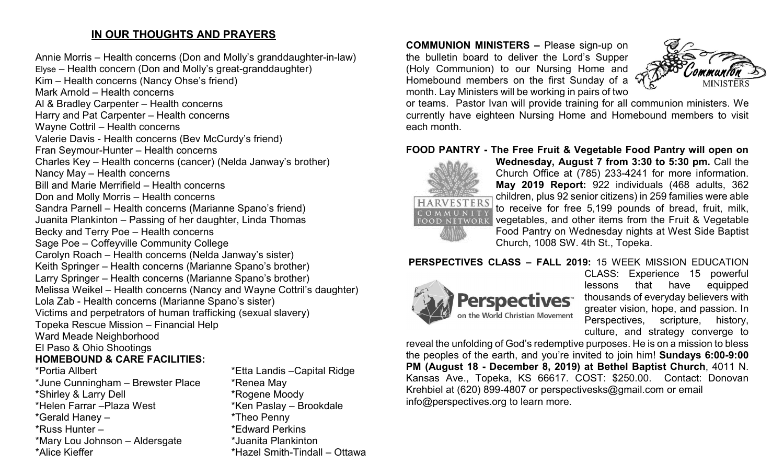#### **IN OUR THOUGHTS AND PRAYERS**

Annie Morris – Health concerns (Don and Molly's granddaughter-in-law) Elyse – Health concern (Don and Molly's great-granddaughter) Kim – Health concerns (Nancy Ohse's friend) Mark Arnold – Health concerns Al & Bradley Carpenter – Health concerns Harry and Pat Carpenter – Health concerns Wayne Cottril – Health concerns Valerie Davis - Health concerns (Bev McCurdy's friend) Fran Seymour-Hunter – Health concerns Charles Key – Health concerns (cancer) (Nelda Janway's brother) Nancy May – Health concerns Bill and Marie Merrifield – Health concerns Don and Molly Morris – Health concerns Sandra Parnell – Health concerns (Marianne Spano's friend) Juanita Plankinton – Passing of her daughter, Linda Thomas Becky and Terry Poe – Health concerns Sage Poe – Coffeyville Community College Carolyn Roach – Health concerns (Nelda Janway's sister) Keith Springer – Health concerns (Marianne Spano's brother) Larry Springer – Health concerns (Marianne Spano's brother) Melissa Weikel – Health concerns (Nancy and Wayne Cottril's daughter) Lola Zab - Health concerns (Marianne Spano's sister) Victims and perpetrators of human trafficking (sexual slavery) Topeka Rescue Mission – Financial Help Ward Meade Neighborhood El Paso & Ohio Shootings **HOMEBOUND & CARE FACILITIES:**  \*Portia Allbert \*Etta Landis –Capital Ridge \*June Cunningham – Brewster Place \* \* Renea May \*Shirley & Larry Dell \*Rogene Moody \*Helen Farrar –Plaza West \*Ken Paslay – Brookdale \*Gerald Haney – \*Theo Penny \*Russ Hunter – \*Edward Perkins \*Mary Lou Johnson – Aldersgate \*Juanita Plankinton \*Alice Kieffer \*Hazel Smith-Tindall – Ottawa **COMMUNION MINISTERS –** Please sign-up on the bulletin board to deliver the Lord's Supper (Holy Communion) to our Nursing Home and Homebound members on the first Sunday of a month. Lay Ministers will be working in pairs of two



or teams. Pastor Ivan will provide training for all communion ministers. We currently have eighteen Nursing Home and Homebound members to visit each month.

#### **FOOD PANTRY - The Free Fruit & Vegetable Food Pantry will open on**



**Wednesday, August 7 from 3:30 to 5:30 pm.** Call the Church Office at (785) 233-4241 for more information. **May 2019 Report:** 922 individuals (468 adults, 362 children, plus 92 senior citizens) in 259 families were able to receive for free 5,199 pounds of bread, fruit, milk, vegetables, and other items from the Fruit & Vegetable Food Pantry on Wednesday nights at West Side Baptist Church, 1008 SW. 4th St., Topeka.

#### **PERSPECTIVES CLASS – FALL 2019:** 15 WEEK MISSION EDUCATION



CLASS: Experience 15 powerful lessons that have equipped thousands of everyday believers with greater vision, hope, and passion. In Perspectives, scripture, history, culture, and strategy converge to

reveal the unfolding of God's redemptive purposes. He is on a mission to bless the peoples of the earth, and you're invited to join him! **Sundays 6:00-9:00 PM (August 18 - December 8, 2019) at Bethel Baptist Church**, 4011 N. Kansas Ave., Topeka, KS 66617. COST: \$250.00. Contact: Donovan Krehbiel at (620) 899-4807 or perspectivesks@gmail.com or email info@perspectives.org to learn more.